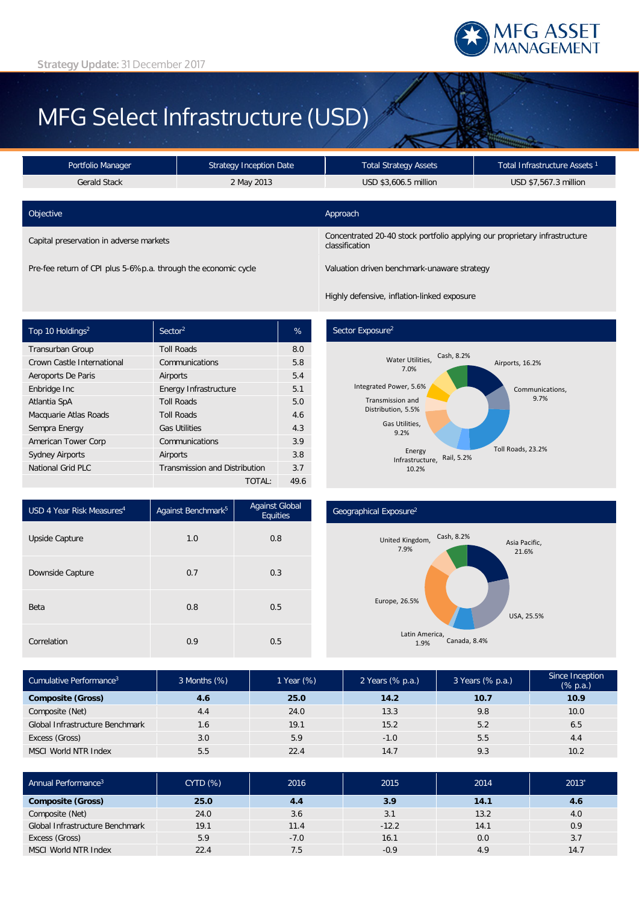

# MFG Select Infrastructure (USD)

| Portfolio Manager                       | <b>Strategy Inception Date</b> | <b>Total Strategy Assets</b>                                                                 | Total Infrastructure Assets <sup>1</sup> |  |
|-----------------------------------------|--------------------------------|----------------------------------------------------------------------------------------------|------------------------------------------|--|
| <b>Gerald Stack</b>                     | 2 May 2013                     | USD \$3,606.5 million                                                                        | USD \$7,567.3 million                    |  |
|                                         |                                |                                                                                              |                                          |  |
| Objective                               |                                | Approach                                                                                     |                                          |  |
| Capital preservation in adverse markets |                                | Concentrated 20-40 stock portfolio applying our proprietary infrastructure<br>classification |                                          |  |

Pre-fee return of CPI plus 5-6%p.a. through the economic cycle Valuation driven benchmark-unaware strategy

Highly defensive, inflation-linked exposure

| Top 10 Holdings <sup>2</sup> | Sector <sup>2</sup>                  | %    |
|------------------------------|--------------------------------------|------|
| Transurban Group             | <b>Toll Roads</b>                    | 8.0  |
| Crown Castle International   | Communications                       | 5.8  |
| Aeroports De Paris           | Airports                             | 5.4  |
| Enbridge Inc                 | Energy Infrastructure                | 5.1  |
| Atlantia SpA                 | <b>Toll Roads</b>                    | 5.0  |
| Macquarie Atlas Roads        | <b>Toll Roads</b>                    | 4.6  |
| Sempra Energy                | <b>Gas Utilities</b>                 | 4.3  |
| American Tower Corp          | Communications                       | 3.9  |
| <b>Sydney Airports</b>       | Airports                             | 3.8  |
| National Grid PLC            | <b>Transmission and Distribution</b> | 3.7  |
|                              | TOTAL:                               | 49.6 |

## Sector Exposure<sup>2</sup>



| USD 4 Year Risk Measures <sup>4</sup> | Against Benchmark <sup>5</sup> | <b>Against Global</b><br>Equities |  |
|---------------------------------------|--------------------------------|-----------------------------------|--|
| Upside Capture                        | 1.0                            | 0.8                               |  |
| Downside Capture                      | 0.7                            | 0.3                               |  |
| Beta                                  | 0.8                            | 0.5                               |  |
| Correlation                           | 0.9                            | 0.5                               |  |

#### Geographical Exposure2



| Cumulative Performance <sup>3</sup> | 3 Months (%) | 1 Year (%) | 2 Years (% p.a.) | 3 Years (% p.a.) | Since Inception<br>$(% \mathbb{R}^2)$ (% p.a.) |
|-------------------------------------|--------------|------------|------------------|------------------|------------------------------------------------|
| <b>Composite (Gross)</b>            | 4.6          | 25.0       | 14.2             | 10.7             | 10.9                                           |
| Composite (Net)                     | 4.4          | 24.0       | 13.3             | 9.8              | 10.0                                           |
| Global Infrastructure Benchmark     | 1.6          | 19.1       | 15.2             | 5.2              | 6.5                                            |
| Excess (Gross)                      | 3.0          | 5.9        | $-1.0$           | 5.5              | 4.4                                            |
| <b>MSCI World NTR Index</b>         | 5.5          | 22.4       | 14.7             | 9.3              | 10.2                                           |

| Annual Performance <sup>3</sup> | CYTD(%) | 2016   | 2015    | 2014 | $2013*$ |
|---------------------------------|---------|--------|---------|------|---------|
| <b>Composite (Gross)</b>        | 25.0    | 4.4    | 3.9     | 14.1 | 4.6     |
| Composite (Net)                 | 24.0    | 3.6    | 3.1     | 13.2 | 4.0     |
| Global Infrastructure Benchmark | 19.1    | 11.4   | $-12.2$ | 14.1 | 0.9     |
| Excess (Gross)                  | 5.9     | $-7.0$ | 16.1    | 0.0  | 3.7     |
| <b>MSCI World NTR Index</b>     | 22.4    | 7.5    | $-0.9$  | 4.9  | 14.7    |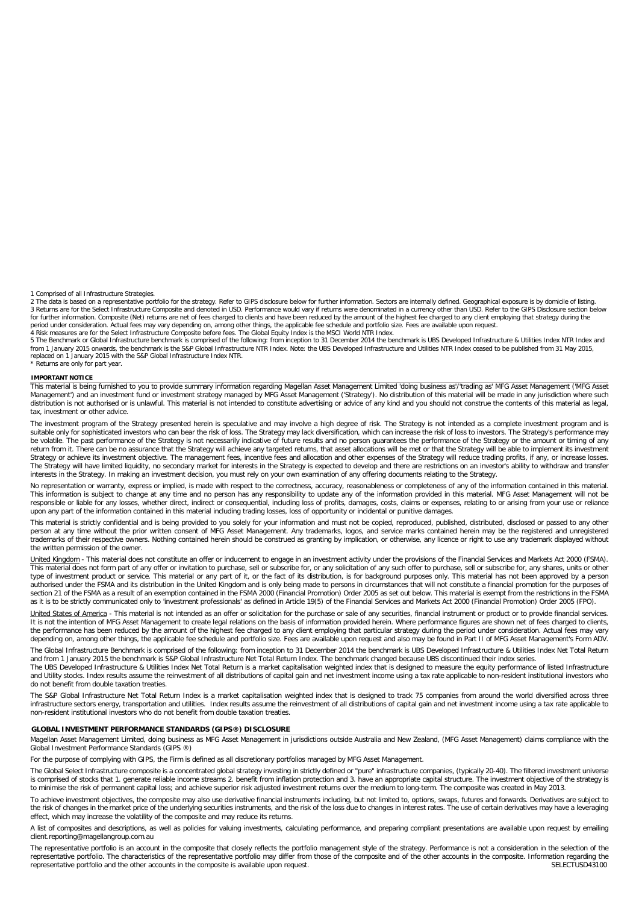1 Comprised of all Infrastructure Strategies.

2 The data is based on a representative portfolio for the strategy. Refer to GIPS disclosure below for further information. Sectors are internally defined. Geographical exposure is by domicile of listing. 3 Returns are for the Select Infrastructure Composite and denoted in USD. Performance would vary if returns were denominated in a currency other than USD. Refer to the GIPS Disclosure section below<br>for further information. period under consideration. Actual fees may vary depending on, among other things, the applicable fee schedule and portfolio size. Fees are available upon request.<br>4 Risk measures are for the Select Infrastructure Composit

5 The Benchmark or Global Infrastructure benchmark is comprised of the following: from inception to 31 December 2014 the benchmark is UBS Developed Infrastructure & Utilities Index NTR Index and from 1 January 2015 onwards, the benchmark is the S&P Global Infrastructure NTR Index. Note: the UBS Developed Infrastructure and Utilities NTR Index ceased to be published from 31 May 2015,<br>replaced on 1 January 2015 with \* Returns are only for part year.

**IMPORTANT NOTICE**

This material is being furnished to you to provide summary information regarding Magellan Asset Management Limited 'doing business as'/'trading as' MFG Asset Management ('MFG Asset Management') and an investment fund or investment strategy managed by MFG Asset Management ('Strategy'). No distribution of this material will be made in any jurisdiction where such distribution is not authorised or is unlawful. This material is not intended to constitute advertising or advice of any kind and you should not construe the contents of this material as legal, tax, investment or other advice.

The investment program of the Strategy presented herein is speculative and may involve a high degree of risk. The Strategy is not intended as a complete investment program and is suitable only for sophisticated investors who can bear the risk of loss. The Strategy may lack diversification, which can increase the risk of loss to investors. The Strategy's performance may<br>be volatile. The past perform return from it. There can be no assurance that the Strategy will achieve any targeted returns, that asset allocations will be met or that the Strategy will be able to implement its investment Strategy or achieve its investment objective. The management fees, incentive fees and allocation and other expenses of the Strategy will reduce trading profits, if any, or increase losses. The Strategy will have limited liquidity, no secondary market for interests in the Strategy is expected to develop and there are restrictions on an investor's ability to withdraw and transfer interests in the Strategy. In making an investment decision, you must rely on your own examination of any offering documents relating to the Strategy.

No representation or warranty, express or implied, is made with respect to the correctness, accuracy, reasonableness or completeness of any of the information contained in this material.<br>This information is subject to chan responsible or liable for any losses, whether direct, indirect or consequential, including loss of profits, damages, costs, claims or expenses, relating to or arising from your use or reliance upon any part of the information contained in this material including trading losses, loss of opportunity or incidental or punitive damages.

This material is strictly confidential and is being provided to you solely for your information and must not be copied, reproduced, published, distributed, disclosed or passed to any other<br>person at any time without the pr the written permission of the owner.

United Kingdom - This material does not constitute an offer or inducement to engage in an investment activity under the provisions of the Financial Services and Markets Act 2000 (FSMA). This material does not form part of any offer or invitation to purchase, sell or subscribe for, or any solicitation of any such offer to purchase, sell or subscribe for, any shares, units or other<br>type of investment produc authorised under the FSMA and its distribution in the United Kingdom and is only being made to persons in circumstances that will not constitute a financial promotion for the purposes of section 21 of the FSMA as a result of an exemption contained in the FSMA 2000 (Financial Promotion) Order 2005 as set out below. This material is exempt from the restrictions in the FSMA as it is to be strictly communicated only to 'investment professionals' as defined in Article 19(5) of the Financial Services and Markets Act 2000 (Financial Promotion) Order 2005 (FPO).

United States of America - This material is not intended as an offer or solicitation for the purchase or sale of any securities, financial instrument or product or to provide financial services. It is not the intention of MFG Asset Management to create legal relations on the basis of information provided herein. Where performance figures are shown net of fees charged to clients,<br>the performance has been reduced by depending on, among other things, the applicable fee schedule and portfolio size. Fees are available upon request and also may be found in Part II of MFG Asset Management's Form ADV.

The Global Infrastructure Benchmark is comprised of the following: from inception to 31 December 2014 the benchmark is UBS Developed Infrastructure & Utilities Index Net Total Return and from 1 January 2015 the benchmark is S&P Global Infrastructure Net Total Return Index. The benchmark changed because UBS discontinued their index series.<br>The UBS Developed Infrastructure & Utilities Index Net Total Ret and Utility stocks. Index results assume the reinvestment of all distributions of capital gain and net investment income using a tax rate applicable to non-resident institutional investors who

do not benefit from double taxation treaties. The S&P Global Infrastructure Net Total Return Index is a market capitalisation weighted index that is designed to track 75 companies from around the world diversified across three

infrastructure sectors energy, transportation and utilities. Index results assume the reinvestment of all distributions of capital gain and net investment income using a tax rate applicable to non-resident institutional investors who do not benefit from double taxation treaties.

#### **GLOBAL INVESTMENT PERFORMANCE STANDARDS (GIPS®) DISCLOSURE**

Magellan Asset Management Limited, doing business as MFG Asset Management in jurisdictions outside Australia and New Zealand, (MFG Asset Management) claims compliance with the Global Investment Performance Standards (GIPS ®)

For the purpose of complying with GIPS, the Firm is defined as all discretionary portfolios managed by MFG Asset Management.

The Global Select Infrastructure composite is a concentrated global strategy investing in strictly defined or "pure" infrastructure companies, (typically 20-40). The filtered investment universe is comprised of stocks that 1. generate reliable income streams 2. benefit from inflation protection and 3. have an appropriate capital structure. The investment objective of the strategy is to minimise the risk of permanent capital loss; and achieve superior risk adjusted investment returns over the medium to long-term. The composite was created in May 2013.

To achieve investment objectives, the composite may also use derivative financial instruments including, but not limited to, options, swaps, futures and forwards. Derivatives are subject to<br>the risk of changes in the marke effect, which may increase the volatility of the composite and may reduce its returns.

A list of composites and descriptions, as well as policies for valuing investments, calculating performance, and preparing compliant presentations are available upon request by emailing client.reporting@magellangroup.com.au

The representative portfolio is an account in the composite that closely reflects the portfolio management style of the strategy. Performance is not a consideration in the selection of the<br>representative portfolio. The cha representative portfolio and the other accounts in the composite is available upon request.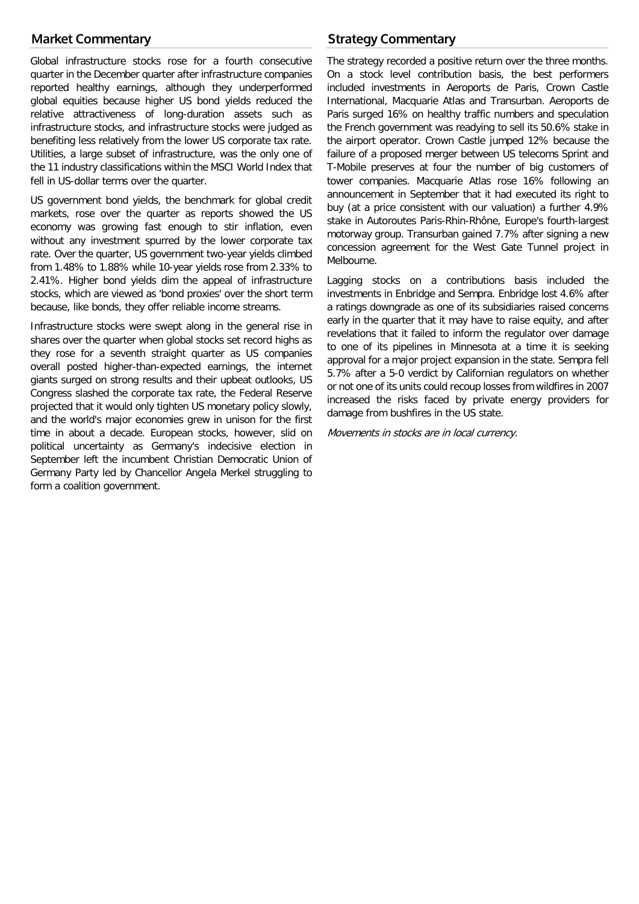# **Market Commentary**

Global infrastructure stocks rose for a fourth consecutive quarter in the December quarter after infrastructure companies reported healthy earnings, although they underperformed global equities because higher US bond yields reduced the relative attractiveness of long-duration assets such as infrastructure stocks, and infrastructure stocks were judged as benefiting less relatively from the lower US corporate tax rate. Utilities, a large subset of infrastructure, was the only one of the 11 industry classifications within the MSCI World Index that fell in US-dollar terms over the quarter.

US government bond yields, the benchmark for global credit markets, rose over the quarter as reports showed the US economy was growing fast enough to stir inflation, even without any investment spurred by the lower corporate tax rate. Over the quarter, US government two-year yields climbed from 1.48% to 1.88% while 10-year yields rose from 2.33% to 2.41%. Higher bond yields dim the appeal of infrastructure stocks, which are viewed as 'bond proxies' over the short term because, like bonds, they offer reliable income streams.

Infrastructure stocks were swept along in the general rise in shares over the quarter when global stocks set record highs as they rose for a seventh straight quarter as US companies overall posted higher-than-expected earnings, the internet giants surged on strong results and their upbeat outlooks, US Congress slashed the corporate tax rate, the Federal Reserve projected that it would only tighten US monetary policy slowly, and the world's major economies grew in unison for the first time in about a decade. European stocks, however, slid on political uncertainty as Germany's indecisive election in September left the incumbent Christian Democratic Union of Germany Party led by Chancellor Angela Merkel struggling to form a coalition government.

# **Strategy Commentary**

The strategy recorded a positive return over the three months. On a stock level contribution basis, the best performers included investments in Aeroports de Paris, Crown Castle International, Macquarie Atlas and Transurban. Aeroports de Paris surged 16% on healthy traffic numbers and speculation the French government was readying to sell its 50.6% stake in the airport operator. Crown Castle jumped 12% because the failure of a proposed merger between US telecoms Sprint and T-Mobile preserves at four the number of big customers of tower companies. Macquarie Atlas rose 16% following an announcement in September that it had executed its right to buy (at a price consistent with our valuation) a further 4.9% stake in Autoroutes Paris-Rhin-Rhône, Europe's fourth-largest motorway group. Transurban gained 7.7% after signing a new concession agreement for the West Gate Tunnel project in Melbourne.

Lagging stocks on a contributions basis included the investments in Enbridge and Sempra. Enbridge lost 4.6% after a ratings downgrade as one of its subsidiaries raised concerns early in the quarter that it may have to raise equity, and after revelations that it failed to inform the regulator over damage to one of its pipelines in Minnesota at a time it is seeking approval for a major project expansion in the state. Sempra fell 5.7% after a 5-0 verdict by Californian regulators on whether or not one of its units could recoup losses from wildfires in 2007 increased the risks faced by private energy providers for damage from bushfires in the US state.

Movements in stocks are in local currency.